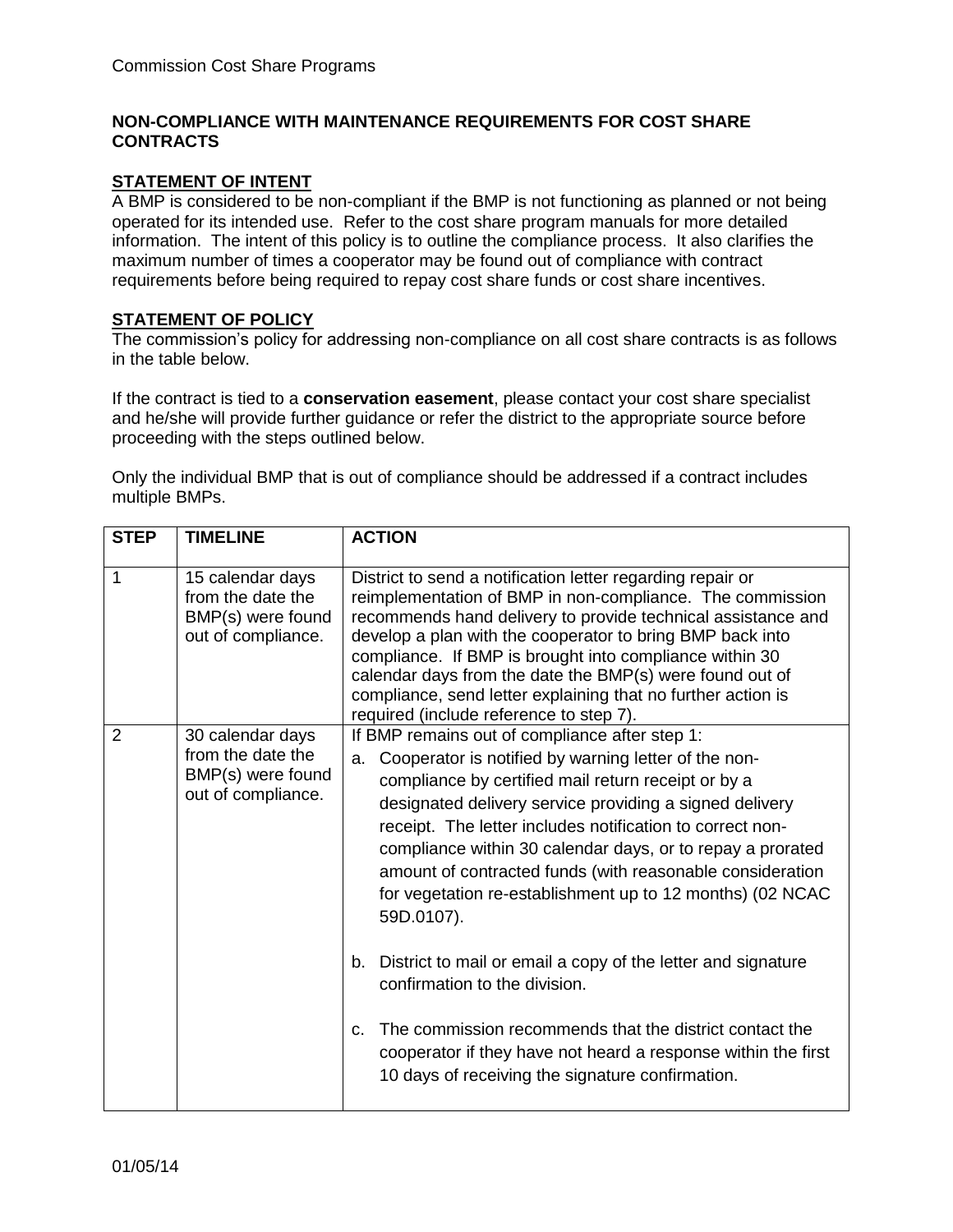### **NON-COMPLIANCE WITH MAINTENANCE REQUIREMENTS FOR COST SHARE CONTRACTS**

#### **STATEMENT OF INTENT**

A BMP is considered to be non-compliant if the BMP is not functioning as planned or not being operated for its intended use. Refer to the cost share program manuals for more detailed information. The intent of this policy is to outline the compliance process. It also clarifies the maximum number of times a cooperator may be found out of compliance with contract requirements before being required to repay cost share funds or cost share incentives.

# **STATEMENT OF POLICY**

The commission's policy for addressing non-compliance on all cost share contracts is as follows in the table below.

If the contract is tied to a **conservation easement**, please contact your cost share specialist and he/she will provide further guidance or refer the district to the appropriate source before proceeding with the steps outlined below.

Only the individual BMP that is out of compliance should be addressed if a contract includes multiple BMPs.

| <b>STEP</b>    | <b>TIMELINE</b>                                                                  | <b>ACTION</b>                                                                                                                                                                                                                                                                                                                                                                                                                                                                                                                                                                                                                                                                                                                                                                                  |
|----------------|----------------------------------------------------------------------------------|------------------------------------------------------------------------------------------------------------------------------------------------------------------------------------------------------------------------------------------------------------------------------------------------------------------------------------------------------------------------------------------------------------------------------------------------------------------------------------------------------------------------------------------------------------------------------------------------------------------------------------------------------------------------------------------------------------------------------------------------------------------------------------------------|
| $\mathbf{1}$   | 15 calendar days<br>from the date the<br>BMP(s) were found<br>out of compliance. | District to send a notification letter regarding repair or<br>reimplementation of BMP in non-compliance. The commission<br>recommends hand delivery to provide technical assistance and<br>develop a plan with the cooperator to bring BMP back into<br>compliance. If BMP is brought into compliance within 30<br>calendar days from the date the BMP(s) were found out of<br>compliance, send letter explaining that no further action is<br>required (include reference to step 7).                                                                                                                                                                                                                                                                                                         |
| $\overline{2}$ | 30 calendar days<br>from the date the<br>BMP(s) were found<br>out of compliance. | If BMP remains out of compliance after step 1:<br>Cooperator is notified by warning letter of the non-<br>a.<br>compliance by certified mail return receipt or by a<br>designated delivery service providing a signed delivery<br>receipt. The letter includes notification to correct non-<br>compliance within 30 calendar days, or to repay a prorated<br>amount of contracted funds (with reasonable consideration<br>for vegetation re-establishment up to 12 months) (02 NCAC<br>59D.0107).<br>District to mail or email a copy of the letter and signature<br>b.<br>confirmation to the division.<br>The commission recommends that the district contact the<br>C.<br>cooperator if they have not heard a response within the first<br>10 days of receiving the signature confirmation. |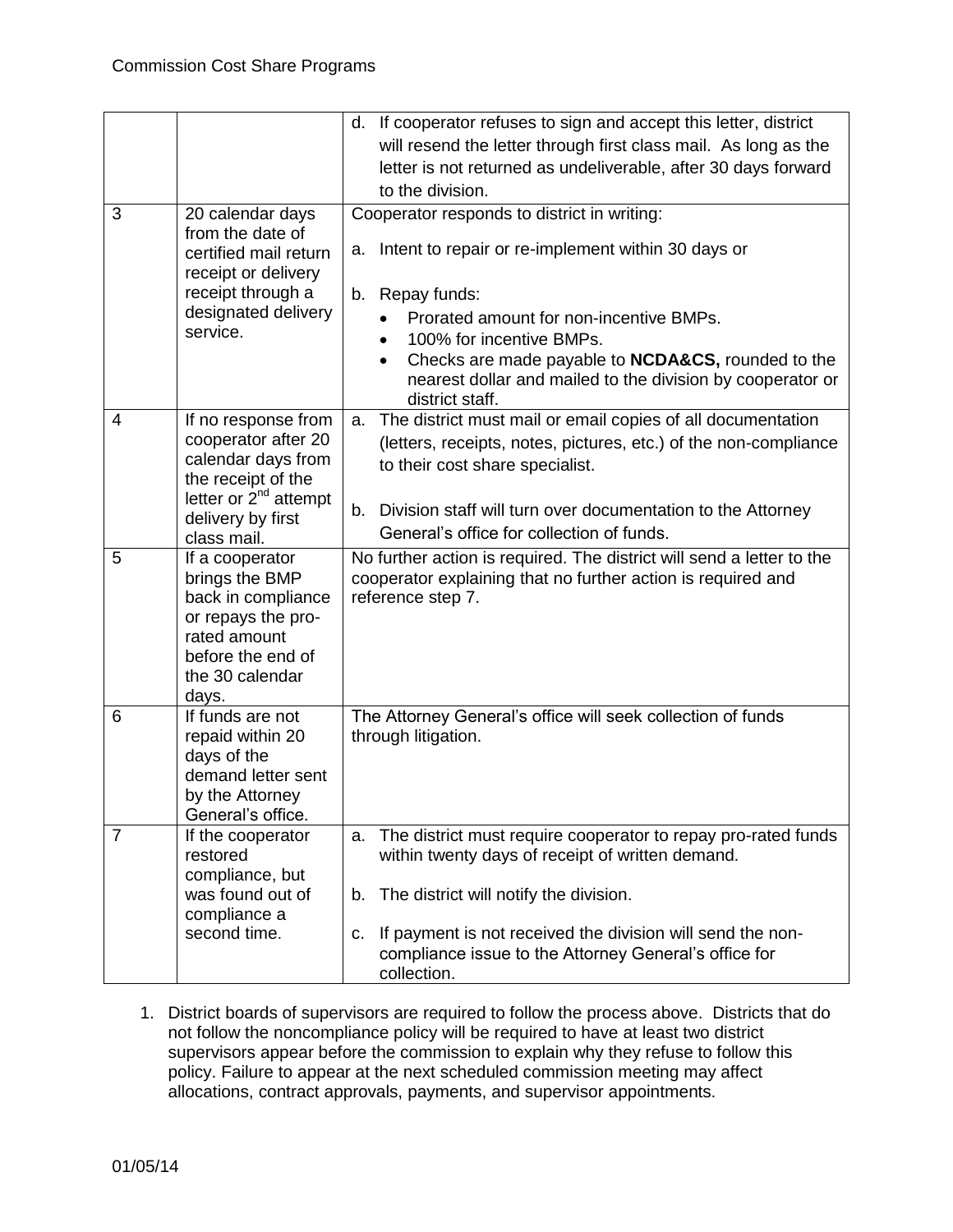|                |                                                        | d. If cooperator refuses to sign and accept this letter, district                                                                                            |
|----------------|--------------------------------------------------------|--------------------------------------------------------------------------------------------------------------------------------------------------------------|
|                |                                                        |                                                                                                                                                              |
|                |                                                        | will resend the letter through first class mail. As long as the                                                                                              |
|                |                                                        | letter is not returned as undeliverable, after 30 days forward                                                                                               |
|                |                                                        | to the division.                                                                                                                                             |
| 3              | 20 calendar days                                       | Cooperator responds to district in writing:                                                                                                                  |
|                | from the date of                                       |                                                                                                                                                              |
|                | certified mail return                                  | Intent to repair or re-implement within 30 days or<br>a.                                                                                                     |
|                | receipt or delivery                                    |                                                                                                                                                              |
|                | receipt through a<br>designated delivery               | Repay funds:<br>b.                                                                                                                                           |
|                | service.                                               | Prorated amount for non-incentive BMPs.                                                                                                                      |
|                |                                                        | 100% for incentive BMPs.<br>$\bullet$                                                                                                                        |
|                |                                                        | Checks are made payable to <b>NCDA&amp;CS</b> , rounded to the<br>$\bullet$<br>nearest dollar and mailed to the division by cooperator or<br>district staff. |
| 4              | If no response from                                    | The district must mail or email copies of all documentation<br>a.                                                                                            |
|                | cooperator after 20                                    | (letters, receipts, notes, pictures, etc.) of the non-compliance                                                                                             |
|                | calendar days from                                     | to their cost share specialist.                                                                                                                              |
|                | the receipt of the                                     |                                                                                                                                                              |
|                | letter or 2 <sup>nd</sup> attempt<br>delivery by first | b.<br>Division staff will turn over documentation to the Attorney                                                                                            |
|                | class mail.                                            | General's office for collection of funds.                                                                                                                    |
| 5              | If a cooperator                                        | No further action is required. The district will send a letter to the                                                                                        |
|                | brings the BMP                                         | cooperator explaining that no further action is required and                                                                                                 |
|                |                                                        |                                                                                                                                                              |
|                | back in compliance                                     | reference step 7.                                                                                                                                            |
|                | or repays the pro-                                     |                                                                                                                                                              |
|                | rated amount                                           |                                                                                                                                                              |
|                | before the end of                                      |                                                                                                                                                              |
|                | the 30 calendar                                        |                                                                                                                                                              |
|                | days.                                                  |                                                                                                                                                              |
| 6              | If funds are not                                       | The Attorney General's office will seek collection of funds                                                                                                  |
|                | repaid within 20                                       | through litigation.                                                                                                                                          |
|                | days of the                                            |                                                                                                                                                              |
|                | demand letter sent                                     |                                                                                                                                                              |
|                | by the Attorney<br>General's office.                   |                                                                                                                                                              |
| $\overline{7}$ | If the cooperator                                      | The district must require cooperator to repay pro-rated funds<br>a.                                                                                          |
|                | restored                                               | within twenty days of receipt of written demand.                                                                                                             |
|                | compliance, but                                        |                                                                                                                                                              |
|                | was found out of                                       | The district will notify the division.<br>b.                                                                                                                 |
|                | compliance a                                           |                                                                                                                                                              |
|                | second time.                                           | If payment is not received the division will send the non-<br>c.<br>compliance issue to the Attorney General's office for                                    |

1. District boards of supervisors are required to follow the process above. Districts that do not follow the noncompliance policy will be required to have at least two district supervisors appear before the commission to explain why they refuse to follow this policy. Failure to appear at the next scheduled commission meeting may affect allocations, contract approvals, payments, and supervisor appointments.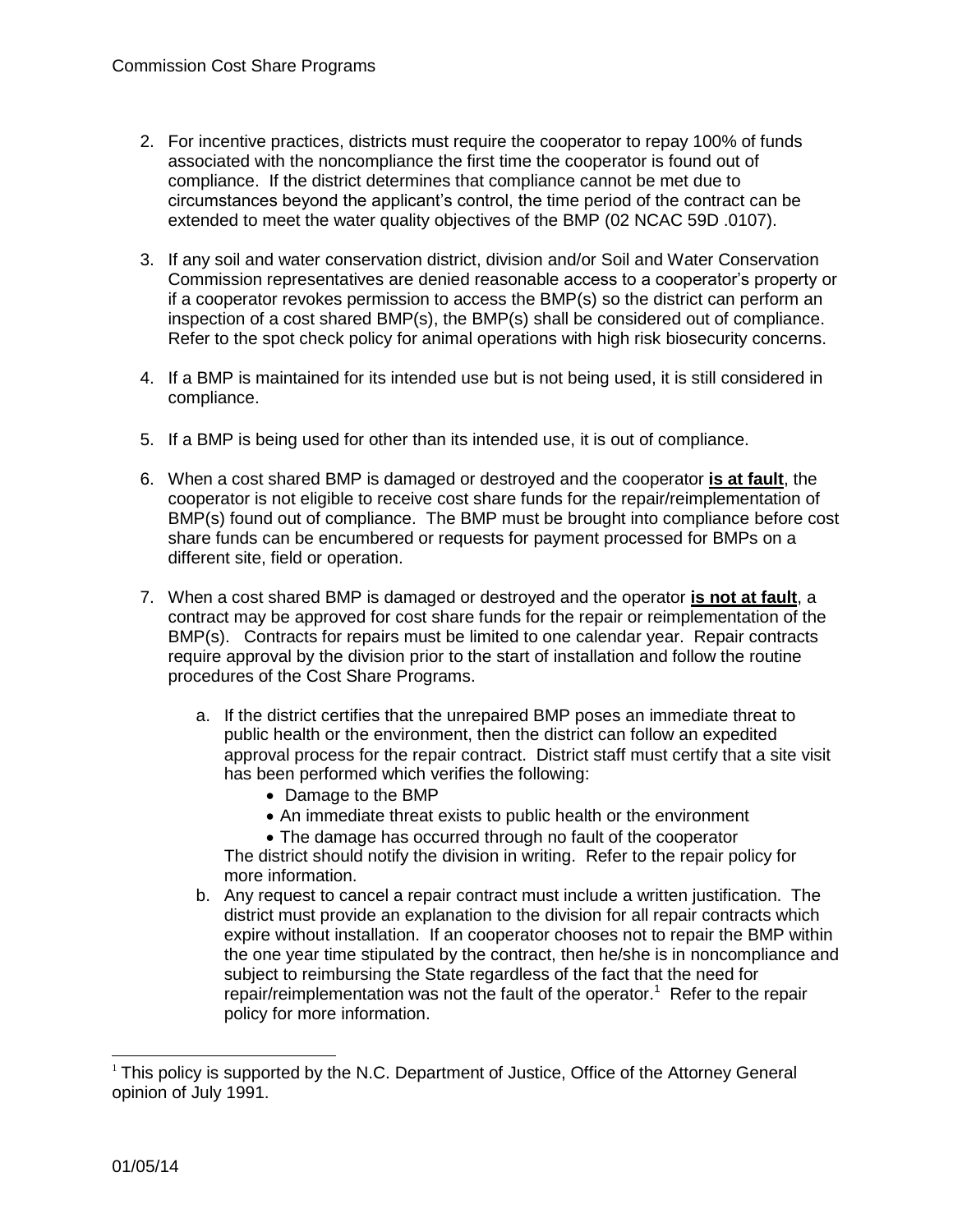- 2. For incentive practices, districts must require the cooperator to repay 100% of funds associated with the noncompliance the first time the cooperator is found out of compliance. If the district determines that compliance cannot be met due to circumstances beyond the applicant's control, the time period of the contract can be extended to meet the water quality objectives of the BMP (02 NCAC 59D .0107).
- 3. If any soil and water conservation district, division and/or Soil and Water Conservation Commission representatives are denied reasonable access to a cooperator's property or if a cooperator revokes permission to access the BMP(s) so the district can perform an inspection of a cost shared BMP(s), the BMP(s) shall be considered out of compliance. Refer to the spot check policy for animal operations with high risk biosecurity concerns.
- 4. If a BMP is maintained for its intended use but is not being used, it is still considered in compliance.
- 5. If a BMP is being used for other than its intended use, it is out of compliance.
- 6. When a cost shared BMP is damaged or destroyed and the cooperator **is at fault**, the cooperator is not eligible to receive cost share funds for the repair/reimplementation of BMP(s) found out of compliance. The BMP must be brought into compliance before cost share funds can be encumbered or requests for payment processed for BMPs on a different site, field or operation.
- 7. When a cost shared BMP is damaged or destroyed and the operator **is not at fault**, a contract may be approved for cost share funds for the repair or reimplementation of the BMP(s). Contracts for repairs must be limited to one calendar year. Repair contracts require approval by the division prior to the start of installation and follow the routine procedures of the Cost Share Programs.
	- a. If the district certifies that the unrepaired BMP poses an immediate threat to public health or the environment, then the district can follow an expedited approval process for the repair contract. District staff must certify that a site visit has been performed which verifies the following:
		- Damage to the BMP
		- An immediate threat exists to public health or the environment
		- The damage has occurred through no fault of the cooperator

The district should notify the division in writing. Refer to the repair policy for more information.

b. Any request to cancel a repair contract must include a written justification. The district must provide an explanation to the division for all repair contracts which expire without installation. If an cooperator chooses not to repair the BMP within the one year time stipulated by the contract, then he/she is in noncompliance and subject to reimbursing the State regardless of the fact that the need for repair/reimplementation was not the fault of the operator.<sup>1</sup> Refer to the repair policy for more information.

l

 $1$  This policy is supported by the N.C. Department of Justice, Office of the Attorney General opinion of July 1991.